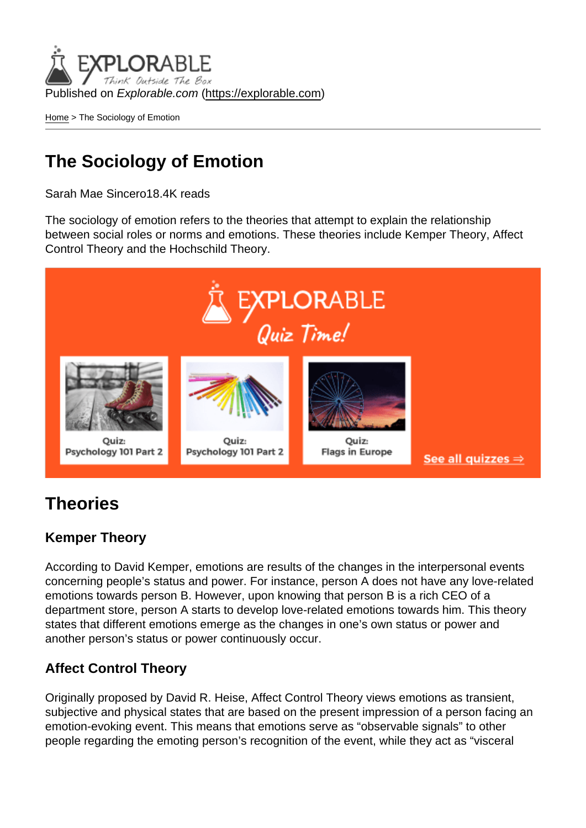Published on Explorable.com (<https://explorable.com>)

[Home](https://explorable.com/) > The Sociology of Emotion

# The Sociology of Emotion

Sarah Mae Sincero18.4K reads

The sociology of emotion refers to the theories that attempt to explain the relationship between social roles or norms and emotions. These theories include Kemper Theory, Affect Control Theory and the Hochschild Theory.

### **Theories**

#### Kemper Theory

According to David Kemper, emotions are results of the changes in the interpersonal events concerning people's status and power. For instance, person A does not have any love-related emotions towards person B. However, upon knowing that person B is a rich CEO of a department store, person A starts to develop love-related emotions towards him. This theory states that different emotions emerge as the changes in one's own status or power and another person's status or power continuously occur.

#### Affect Control Theory

Originally proposed by David R. Heise, Affect Control Theory views emotions as transient, subjective and physical states that are based on the present impression of a person facing an emotion-evoking event. This means that emotions serve as "observable signals" to other people regarding the emoting person's recognition of the event, while they act as "visceral